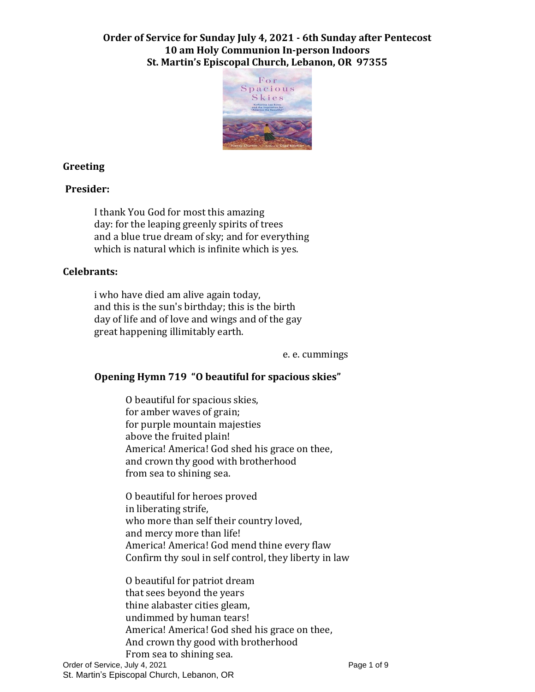# **Order of Service for Sunday July 4, 2021 - 6th Sunday after Pentecost 10 am Holy Communion In-person Indoors St. Martin's Episcopal Church, Lebanon, OR 97355**



# **Greeting**

## **Presider:**

 I thank You God for most this amazing day: for the leaping greenly spirits of trees and a blue true dream of sky; and for everything which is natural which is infinite which is yes.

## **Celebrants:**

 i who have died am alive again today, and this is the sun's birthday; this is the birth day of life and of love and wings and of the gay great happening illimitably earth.

e. e. cummings

# **Opening Hymn 719 "O beautiful for spacious skies"**

O beautiful for spacious skies, for amber waves of grain; for purple mountain majesties above the fruited plain! America! America! God shed his grace on thee, and crown thy good with brotherhood from sea to shining sea.

O beautiful for heroes proved in liberating strife, who more than self their country loved, and mercy more than life! America! America! God mend thine every flaw Confirm thy soul in self control, they liberty in law

Order of Service, July 4, 2021 **Page 1 of 9** St. Martin's Episcopal Church, Lebanon, OR O beautiful for patriot dream that sees beyond the years thine alabaster cities gleam, undimmed by human tears! America! America! God shed his grace on thee, And crown thy good with brotherhood From sea to shining sea.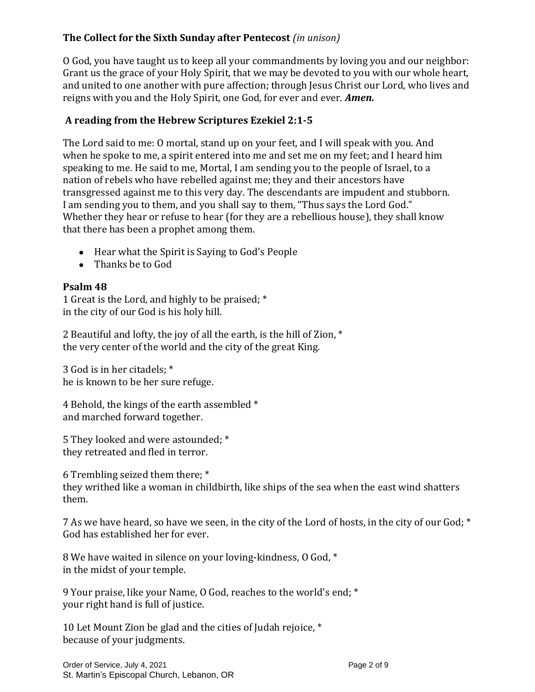# **The Collect for the Sixth Sunday after Pentecost** *(in unison)*

O God, you have taught us to keep all your commandments by loving you and our neighbor: Grant us the grace of your Holy Spirit, that we may be devoted to you with our whole heart, and united to one another with pure affection; through Jesus Christ our Lord, who lives and reigns with you and the Holy Spirit, one God, for ever and ever. *Amen.*

# **A reading from the Hebrew Scriptures Ezekiel 2:1-5**

The Lord said to me: O mortal, stand up on your feet, and I will speak with you. And when he spoke to me, a spirit entered into me and set me on my feet; and I heard him speaking to me. He said to me, Mortal, I am sending you to the people of Israel, to a nation of rebels who have rebelled against me; they and their ancestors have transgressed against me to this very day. The descendants are impudent and stubborn. I am sending you to them, and you shall say to them, "Thus says the Lord God." Whether they hear or refuse to hear (for they are a rebellious house), they shall know that there has been a prophet among them.

- Hear what the Spirit is Saying to God's People
- Thanks be to God

# **Psalm 48**

1 Great is the Lord, and highly to be praised; \* in the city of our God is his holy hill.

2 Beautiful and lofty, the joy of all the earth, is the hill of Zion, \* the very center of the world and the city of the great King.

3 God is in her citadels; \* he is known to be her sure refuge.

4 Behold, the kings of the earth assembled \* and marched forward together.

5 They looked and were astounded; \* they retreated and fled in terror.

6 Trembling seized them there; \*

they writhed like a woman in childbirth, like ships of the sea when the east wind shatters them.

7 As we have heard, so have we seen, in the city of the Lord of hosts, in the city of our God; \* God has established her for ever.

8 We have waited in silence on your loving-kindness, O God, \* in the midst of your temple.

9 Your praise, like your Name, O God, reaches to the world's end; \* your right hand is full of justice.

10 Let Mount Zion be glad and the cities of Judah rejoice, \* because of your judgments.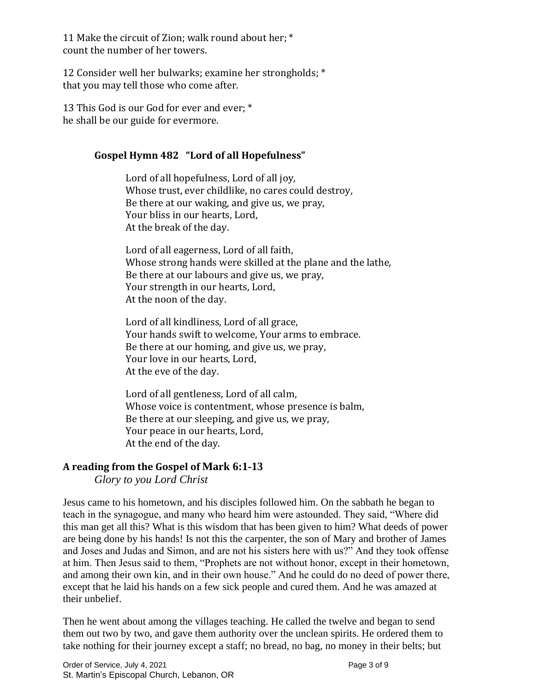11 Make the circuit of Zion; walk round about her; \* count the number of her towers.

12 Consider well her bulwarks; examine her strongholds; \* that you may tell those who come after.

13 This God is our God for ever and ever; \* he shall be our guide for evermore.

# **Gospel Hymn 482 "Lord of all Hopefulness"**

Lord of all hopefulness, Lord of all joy, Whose trust, ever childlike, no cares could destroy, Be there at our waking, and give us, we pray, Your bliss in our hearts, Lord, At the break of the day.

Lord of all eagerness, Lord of all faith, Whose strong hands were skilled at the plane and the lathe, Be there at our labours and give us, we pray, Your strength in our hearts, Lord, At the noon of the day.

Lord of all kindliness, Lord of all grace, Your hands swift to welcome, Your arms to embrace. Be there at our homing, and give us, we pray, Your love in our hearts, Lord, At the eve of the day.

Lord of all gentleness, Lord of all calm, Whose voice is contentment, whose presence is balm, Be there at our sleeping, and give us, we pray, Your peace in our hearts, Lord, At the end of the day.

# **A reading from the Gospel of Mark 6:1-13**

*Glory to you Lord Christ*

Jesus came to his hometown, and his disciples followed him. On the sabbath he began to teach in the synagogue, and many who heard him were astounded. They said, "Where did this man get all this? What is this wisdom that has been given to him? What deeds of power are being done by his hands! Is not this the carpenter, the son of Mary and brother of James and Joses and Judas and Simon, and are not his sisters here with us?" And they took offense at him. Then Jesus said to them, "Prophets are not without honor, except in their hometown, and among their own kin, and in their own house." And he could do no deed of power there, except that he laid his hands on a few sick people and cured them. And he was amazed at their unbelief.

Then he went about among the villages teaching. He called the twelve and began to send them out two by two, and gave them authority over the unclean spirits. He ordered them to take nothing for their journey except a staff; no bread, no bag, no money in their belts; but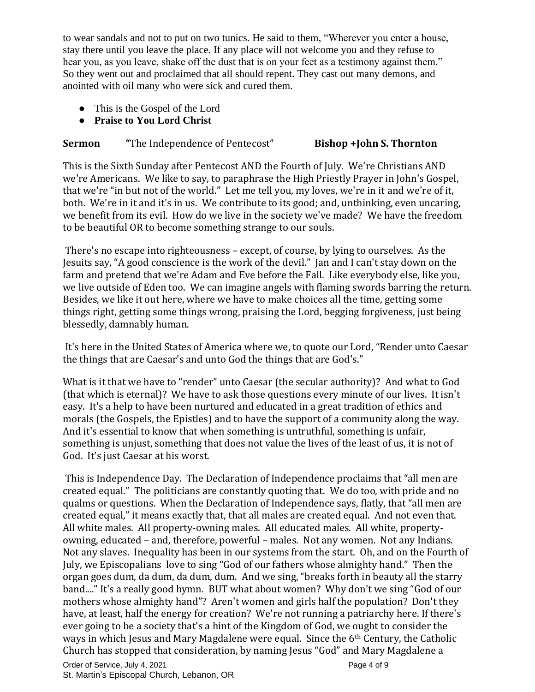to wear sandals and not to put on two tunics. He said to them, "Wherever you enter a house, stay there until you leave the place. If any place will not welcome you and they refuse to hear you, as you leave, shake off the dust that is on your feet as a testimony against them." So they went out and proclaimed that all should repent. They cast out many demons, and anointed with oil many who were sick and cured them.

- This is the Gospel of the Lord
- **Praise to You Lord Christ**

# **Sermon "**The Independence of Pentecost" **Bishop +John S. Thornton**

This is the Sixth Sunday after Pentecost AND the Fourth of July. We're Christians AND we're Americans. We like to say, to paraphrase the High Priestly Prayer in John's Gospel, that we're "in but not of the world." Let me tell you, my loves, we're in it and we're of it, both. We're in it and it's in us. We contribute to its good; and, unthinking, even uncaring, we benefit from its evil. How do we live in the society we've made? We have the freedom to be beautiful OR to become something strange to our souls.

There's no escape into righteousness – except, of course, by lying to ourselves. As the Jesuits say, "A good conscience is the work of the devil." Jan and I can't stay down on the farm and pretend that we're Adam and Eve before the Fall. Like everybody else, like you, we live outside of Eden too. We can imagine angels with flaming swords barring the return. Besides, we like it out here, where we have to make choices all the time, getting some things right, getting some things wrong, praising the Lord, begging forgiveness, just being blessedly, damnably human.

It's here in the United States of America where we, to quote our Lord, "Render unto Caesar the things that are Caesar's and unto God the things that are God's."

What is it that we have to "render" unto Caesar (the secular authority)? And what to God (that which is eternal)? We have to ask those questions every minute of our lives. It isn't easy. It's a help to have been nurtured and educated in a great tradition of ethics and morals (the Gospels, the Epistles) and to have the support of a community along the way. And it's essential to know that when something is untruthful, something is unfair, something is unjust, something that does not value the lives of the least of us, it is not of God. It's just Caesar at his worst.

This is Independence Day. The Declaration of Independence proclaims that "all men are created equal." The politicians are constantly quoting that. We do too, with pride and no qualms or questions. When the Declaration of Independence says, flatly, that "all men are created equal," it means exactly that, that all males are created equal. And not even that. All white males. All property-owning males. All educated males. All white, propertyowning, educated – and, therefore, powerful – males. Not any women. Not any Indians. Not any slaves. Inequality has been in our systems from the start. Oh, and on the Fourth of July, we Episcopalians love to sing "God of our fathers whose almighty hand." Then the organ goes dum, da dum, da dum, dum. And we sing, "breaks forth in beauty all the starry band...." It's a really good hymn. BUT what about women? Why don't we sing "God of our mothers whose almighty hand"? Aren't women and girls half the population? Don't they have, at least, half the energy for creation? We're not running a patriarchy here. If there's ever going to be a society that's a hint of the Kingdom of God, we ought to consider the ways in which Jesus and Mary Magdalene were equal. Since the 6th Century, the Catholic Church has stopped that consideration, by naming Jesus "God" and Mary Magdalene a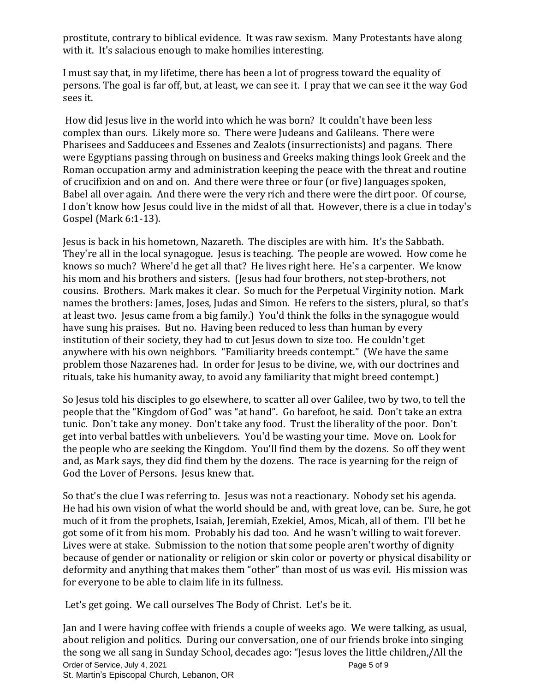prostitute, contrary to biblical evidence. It was raw sexism. Many Protestants have along with it. It's salacious enough to make homilies interesting.

I must say that, in my lifetime, there has been a lot of progress toward the equality of persons. The goal is far off, but, at least, we can see it. I pray that we can see it the way God sees it.

How did Jesus live in the world into which he was born? It couldn't have been less complex than ours. Likely more so. There were Judeans and Galileans. There were Pharisees and Sadducees and Essenes and Zealots (insurrectionists) and pagans. There were Egyptians passing through on business and Greeks making things look Greek and the Roman occupation army and administration keeping the peace with the threat and routine of crucifixion and on and on. And there were three or four (or five) languages spoken, Babel all over again. And there were the very rich and there were the dirt poor. Of course, I don't know how Jesus could live in the midst of all that. However, there is a clue in today's Gospel (Mark 6:1-13).

Jesus is back in his hometown, Nazareth. The disciples are with him. It's the Sabbath. They're all in the local synagogue. Jesus is teaching. The people are wowed. How come he knows so much? Where'd he get all that? He lives right here. He's a carpenter. We know his mom and his brothers and sisters. (Jesus had four brothers, not step-brothers, not cousins. Brothers. Mark makes it clear. So much for the Perpetual Virginity notion. Mark names the brothers: James, Joses, Judas and Simon. He refers to the sisters, plural, so that's at least two. Jesus came from a big family.) You'd think the folks in the synagogue would have sung his praises. But no. Having been reduced to less than human by every institution of their society, they had to cut Jesus down to size too. He couldn't get anywhere with his own neighbors. "Familiarity breeds contempt." (We have the same problem those Nazarenes had. In order for Jesus to be divine, we, with our doctrines and rituals, take his humanity away, to avoid any familiarity that might breed contempt.)

So Jesus told his disciples to go elsewhere, to scatter all over Galilee, two by two, to tell the people that the "Kingdom of God" was "at hand". Go barefoot, he said. Don't take an extra tunic. Don't take any money. Don't take any food. Trust the liberality of the poor. Don't get into verbal battles with unbelievers. You'd be wasting your time. Move on. Look for the people who are seeking the Kingdom. You'll find them by the dozens. So off they went and, as Mark says, they did find them by the dozens. The race is yearning for the reign of God the Lover of Persons. Jesus knew that.

So that's the clue I was referring to. Jesus was not a reactionary. Nobody set his agenda. He had his own vision of what the world should be and, with great love, can be. Sure, he got much of it from the prophets, Isaiah, Jeremiah, Ezekiel, Amos, Micah, all of them. I'll bet he got some of it from his mom. Probably his dad too. And he wasn't willing to wait forever. Lives were at stake. Submission to the notion that some people aren't worthy of dignity because of gender or nationality or religion or skin color or poverty or physical disability or deformity and anything that makes them "other" than most of us was evil. His mission was for everyone to be able to claim life in its fullness.

Let's get going. We call ourselves The Body of Christ. Let's be it.

Order of Service, July 4, 2021 Contract the Contract of Service of 9 St. Martin's Episcopal Church, Lebanon, OR Jan and I were having coffee with friends a couple of weeks ago. We were talking, as usual, about religion and politics. During our conversation, one of our friends broke into singing the song we all sang in Sunday School, decades ago: "Jesus loves the little children,/All the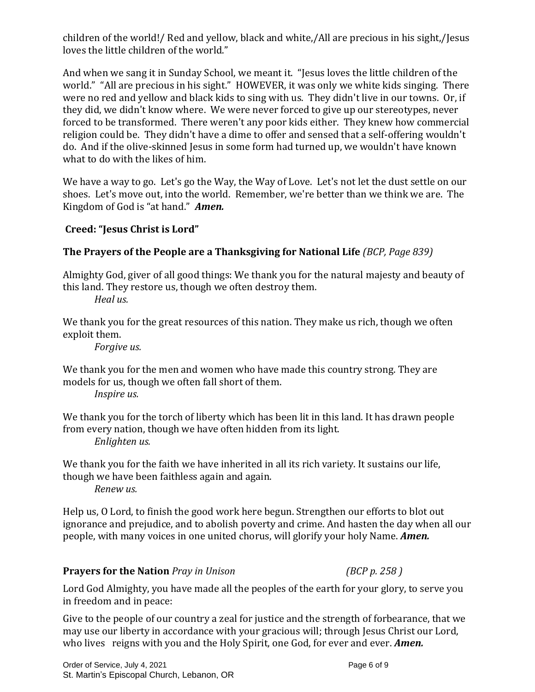children of the world!/ Red and yellow, black and white,/All are precious in his sight,/Jesus loves the little children of the world."

And when we sang it in Sunday School, we meant it. "Jesus loves the little children of the world." "All are precious in his sight." HOWEVER, it was only we white kids singing. There were no red and yellow and black kids to sing with us. They didn't live in our towns. Or, if they did, we didn't know where. We were never forced to give up our stereotypes, never forced to be transformed. There weren't any poor kids either. They knew how commercial religion could be. They didn't have a dime to offer and sensed that a self-offering wouldn't do. And if the olive-skinned Jesus in some form had turned up, we wouldn't have known what to do with the likes of him.

We have a way to go. Let's go the Way, the Way of Love. Let's not let the dust settle on our shoes. Let's move out, into the world. Remember, we're better than we think we are. The Kingdom of God is "at hand." *Amen.*

## **Creed: "Jesus Christ is Lord"**

## **The Prayers of the People are a Thanksgiving for National Life** *(BCP, Page 839)*

Almighty God, giver of all good things: We thank you for the natural majesty and beauty of this land. They restore us, though we often destroy them. *Heal us.*

We thank you for the great resources of this nation. They make us rich, though we often exploit them.

*Forgive us.*

We thank you for the men and women who have made this country strong. They are models for us, though we often fall short of them.

*Inspire us.*

We thank you for the torch of liberty which has been lit in this land. It has drawn people from every nation, though we have often hidden from its light. *Enlighten us.*

We thank you for the faith we have inherited in all its rich variety. It sustains our life, though we have been faithless again and again.

*Renew us.*

Help us, O Lord, to finish the good work here begun. Strengthen our efforts to blot out ignorance and prejudice, and to abolish poverty and crime. And hasten the day when all our people, with many voices in one united chorus, will glorify your holy Name. *Amen.*

### **Prayers for the Nation** *Pray in Unison (BCP p. 258 )*

Lord God Almighty, you have made all the peoples of the earth for your glory, to serve you in freedom and in peace:

Give to the people of our country a zeal for justice and the strength of forbearance, that we may use our liberty in accordance with your gracious will; through Jesus Christ our Lord, who lives reigns with you and the Holy Spirit, one God, for ever and ever. *Amen.*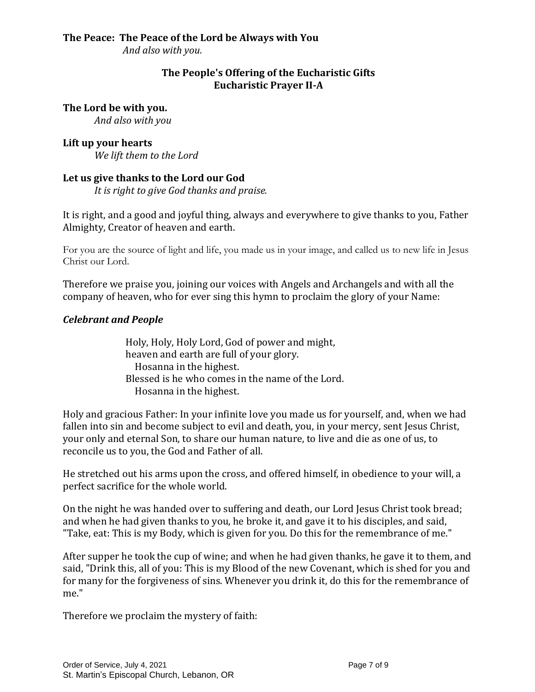# **The Peace: The Peace of the Lord be Always with You**

*And also with you.*

## **The People's Offering of the Eucharistic Gifts Eucharistic Prayer II-A**

**The Lord be with you.**

*And also with you*

#### **Lift up your hearts**

*We lift them to the Lord*

### **Let us give thanks to the Lord our God**

*It is right to give God thanks and praise.*

It is right, and a good and joyful thing, always and everywhere to give thanks to you, Father Almighty, Creator of heaven and earth.

For you are the source of light and life, you made us in your image, and called us to new life in Jesus Christ our Lord.

Therefore we praise you, joining our voices with Angels and Archangels and with all the company of heaven, who for ever sing this hymn to proclaim the glory of your Name:

### *Celebrant and People*

Holy, Holy, Holy Lord, God of power and might, heaven and earth are full of your glory. Hosanna in the highest. Blessed is he who comes in the name of the Lord. Hosanna in the highest.

Holy and gracious Father: In your infinite love you made us for yourself, and, when we had fallen into sin and become subject to evil and death, you, in your mercy, sent Jesus Christ, your only and eternal Son, to share our human nature, to live and die as one of us, to reconcile us to you, the God and Father of all.

He stretched out his arms upon the cross, and offered himself, in obedience to your will, a perfect sacrifice for the whole world.

On the night he was handed over to suffering and death, our Lord Jesus Christ took bread; and when he had given thanks to you, he broke it, and gave it to his disciples, and said, "Take, eat: This is my Body, which is given for you. Do this for the remembrance of me."

After supper he took the cup of wine; and when he had given thanks, he gave it to them, and said, "Drink this, all of you: This is my Blood of the new Covenant, which is shed for you and for many for the forgiveness of sins. Whenever you drink it, do this for the remembrance of me."

Therefore we proclaim the mystery of faith: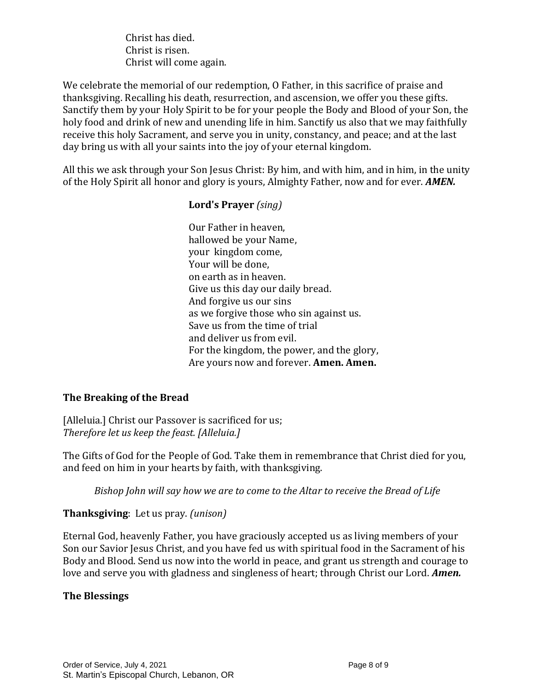Christ has died. Christ is risen. Christ will come again.

We celebrate the memorial of our redemption, O Father, in this sacrifice of praise and thanksgiving. Recalling his death, resurrection, and ascension, we offer you these gifts. Sanctify them by your Holy Spirit to be for your people the Body and Blood of your Son, the holy food and drink of new and unending life in him. Sanctify us also that we may faithfully receive this holy Sacrament, and serve you in unity, constancy, and peace; and at the last day bring us with all your saints into the joy of your eternal kingdom.

All this we ask through your Son Jesus Christ: By him, and with him, and in him, in the unity of the Holy Spirit all honor and glory is yours, Almighty Father, now and for ever. *AMEN.*

## **Lord's Prayer** *(sing)*

Our Father in heaven, hallowed be your Name, your kingdom come, Your will be done, on earth as in heaven. Give us this day our daily bread. And forgive us our sins as we forgive those who sin against us. Save us from the time of trial and deliver us from evil. For the kingdom, the power, and the glory, Are yours now and forever. **Amen. Amen.**

### **The Breaking of the Bread**

[Alleluia.] Christ our Passover is sacrificed for us; *Therefore let us keep the feast. [Alleluia.]*

The Gifts of God for the People of God. Take them in remembrance that Christ died for you, and feed on him in your hearts by faith, with thanksgiving.

*Bishop John will say how we are to come to the Altar to receive the Bread of Life*

### **Thanksgiving**: Let us pray. *(unison)*

Eternal God, heavenly Father, you have graciously accepted us as living members of your Son our Savior Jesus Christ, and you have fed us with spiritual food in the Sacrament of his Body and Blood. Send us now into the world in peace, and grant us strength and courage to love and serve you with gladness and singleness of heart; through Christ our Lord. *Amen.*

### **The Blessings**